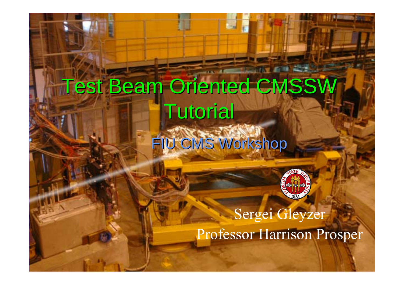# **Test Beam Oriented CMSSW Tutorial** FIU CMS Workshop



Sergei Gleyzer Professor Harrison Prosper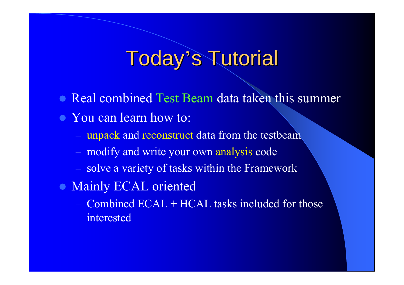#### **Today's Tutorial**

- Real combined Test Beam data taken this summer
- You can learn how to:
	- unpack and reconstruct data from the testbeam
	- modify and write your own analysis code
	- solve a variety of tasks within the Framework
- Mainly ECAL oriented
	- Combined ECAL + HCAL tasks included for those interested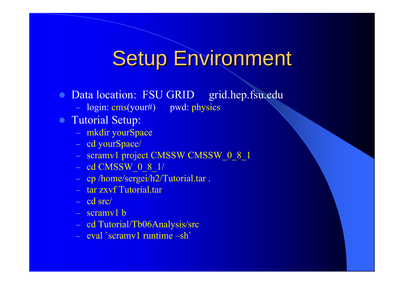#### **Setup Environment**

- $\bullet$ Data location: FSU GRID grid.hep.fsu.edu
	- login: cms(your#) pwd: physics
- Tutorial Setup:
	- mkdir yourSpace
	- cd yourSpace/
	- scramv1 project CMSSW CMSSW\_0\_8\_1
	- cd CMSSW\_0\_8\_1/
	- cp /home/sergei/h2/Tutorial.tar .
	- tar zxvf Tutorial.tar
	- cd src/
	- scramv1 b
	- cd Tutorial/Tb06Analysis/src
	- eval `scramv1 runtime –sh`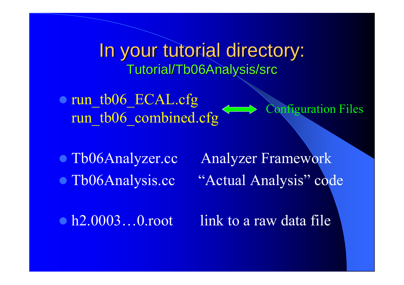In your tutorial directory: Tutorial/Tb06Analysis/src

• run\_tb06\_ECAL.cfg run\_tb06\_combined.cfg Configuration Files

• Tb06Analyzer.cc • Tb06Analysis.cc

Analyzer Framework "Actual Analysis" code

•  $h2.0003...0$  root

link to a raw data file.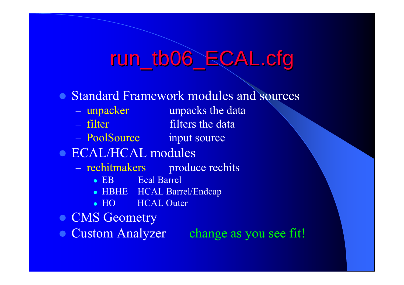### run\_tb06\_ECAL.cfg

- Standard Framework modules and sources
	- unpacker all unpacks the data
	- filter
- filters the data
- PoolSource input source
- ECAL/HCAL modules
	- rechitmakers produce rechits
		- $\bullet$  ER Ecal Barrel
		- HBHE HCAL Barrel/Endcap
		- $\bullet$  HO **HCAL Outer**
- CMS Geometry
- Custom Analyzer change as you see fit!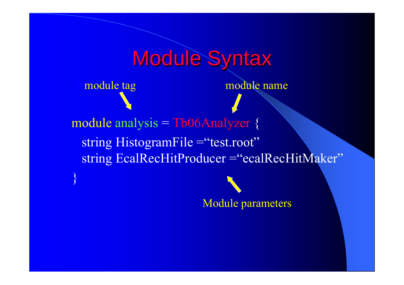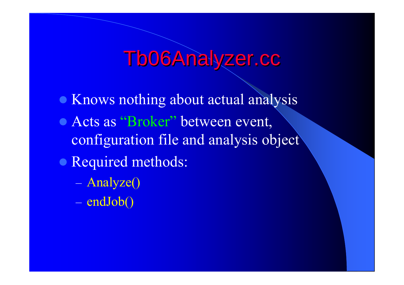### Tb06Analyzer.cc

- **Knows nothing about actual analysis**
- Acts as "Broker" between event, configuration file and analysis object
- Required methods:
	- Analyze()
	- endJob()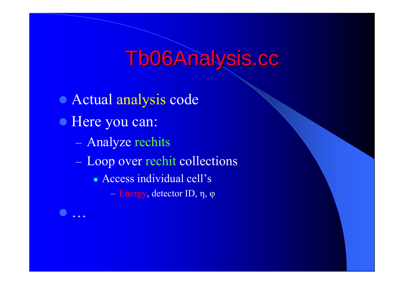## Tb06Analysis.cc

• Actual analysis code  $\bullet$  Here you can: Analyze rechits Loop over rechit collections • Access individual cell's Energy, detector ID, η, φ

 $\bullet$ 

…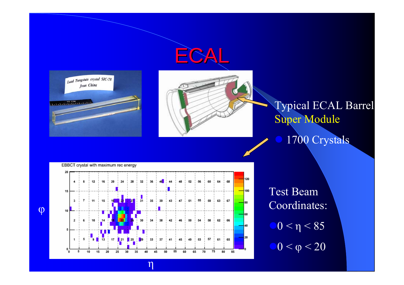





#### Typical ECAL Barrel Super Module 1700 Crystals



η

Test Beam Coordinates:  $\bigcirc$  0 <  $\eta$  < 85  $\bigcirc$  0 <  $\varphi$  < 20

φ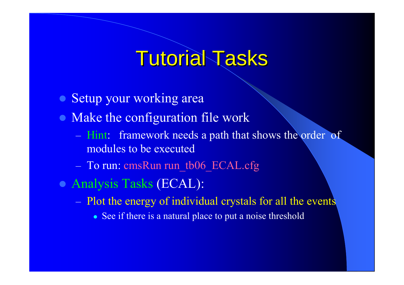#### **Tutorial Tasks**

- Setup your working area
- Make the configuration file work
	- Hint: framework needs a path that shows the order of modules to be executed
	- To run: cmsRun run\_tb06\_ECAL.cfg
- z Analysis Tasks (ECAL):
	- Plot the energy of individual crystals for all the events
		- See if there is a natural place to put a noise threshold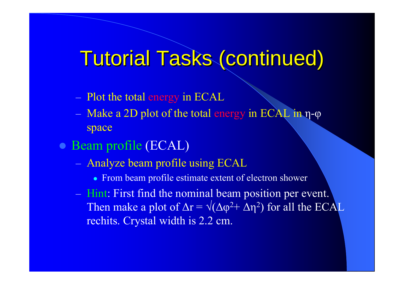### Tutorial Tasks (continued) Tutorial Tasks (continued)

- Plot the total energy in ECAL
- Make a 2D plot of the total energy in ECAL in η-φ space
- Beam profile (ECAL)
	- Analyze beam profile using ECAL
		- From beam profile estimate extent of electron shower
	- Hint: First find the nominal beam position per event. Then make a plot of  $\Delta r = \sqrt{\Delta \varphi^2 + \Delta \eta^2}$  for all the ECAL rechits. Crystal width is 2.2 cm.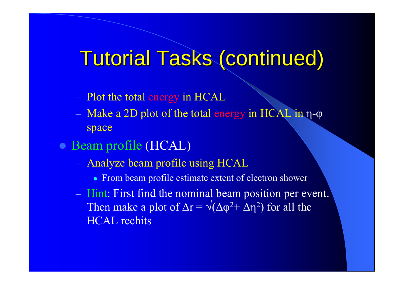### Tutorial Tasks (continued) Tutorial Tasks (continued)

- Plot the total energy in HCAL
- Make a 2D plot of the total energy in HCAL in η-φ space
- Beam profile (HCAL)
	- Analyze beam profile using HCAL
		- From beam profile estimate extent of electron shower
	- Hint: First find the nominal beam position per event. Then make a plot of  $\Delta r = \sqrt{(\Delta \varphi^2 + \Delta \eta^2)}$  for all the HCAL rechits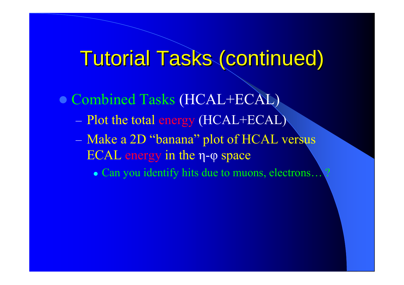### **Tutorial Tasks (continued)**

• Combined Tasks (HCAL+ECAL)

Plot the total energy (HCAL+ECAL)

 Make a 2D "banana" plot of HCAL versus ECAL energy in the η - φ space

• Can you identify hits due to muons, electrons... ?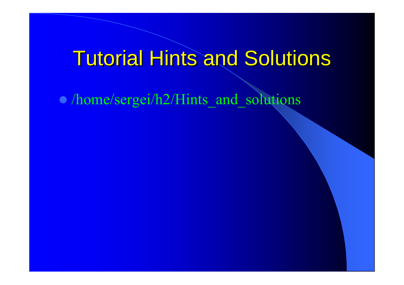#### **Tutorial Hints and Solutions**

z /home/sergei/h2/Hints\_and\_solutions